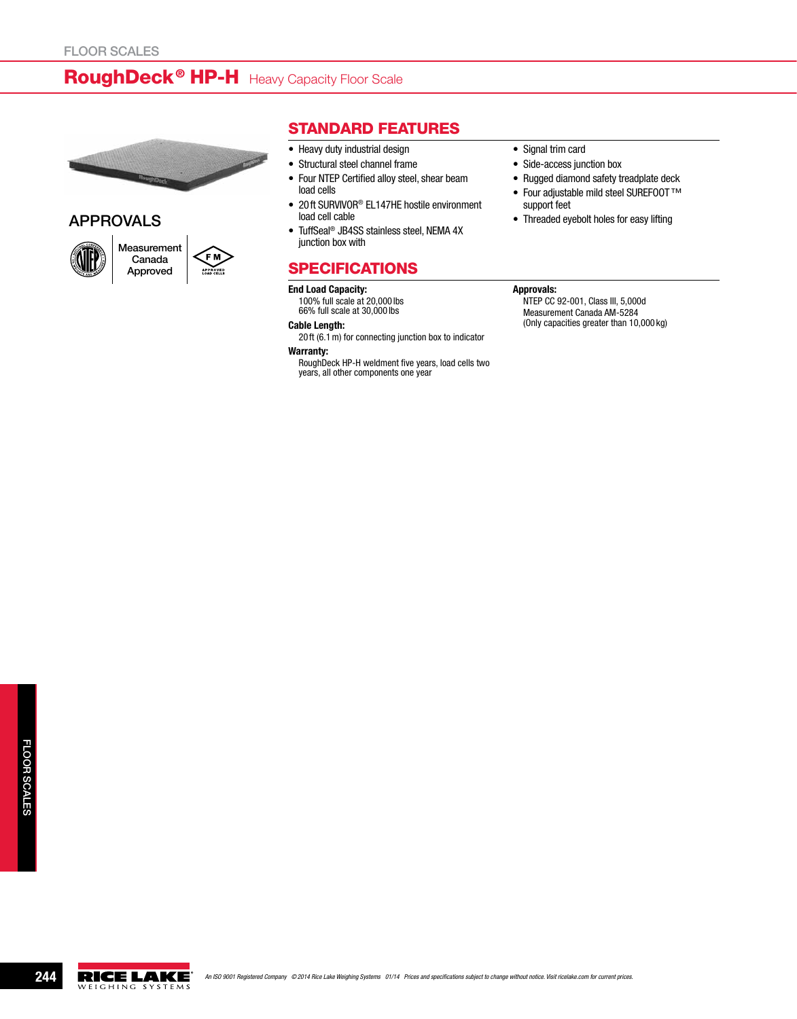## RoughDeck<sup>®</sup> HP-H Heavy Capacity Floor Scale



## APPROVALS



## Standard Features

- Heavy duty industrial design
- • Structural steel channel frame
- Four NTEP Certified alloy steel, shear beam load cells
- 20ft SURVIVOR® EL147HE hostile environment load cell cable
- TuffSeal<sup>®</sup> JB4SS stainless steel, NEMA 4X junction box with

## **SPECIFICATIONS**

#### End Load Capacity:

100% full scale at 20,000 lbs 66% full scale at 30,000 lbs

#### Cable Length:

20 ft (6.1m) for connecting junction box to indicator

Warranty:

RoughDeck HP-H weldment five years, load cells two years, all other components one year

- Signal trim card
- Side-access junction box
- Rugged diamond safety treadplate deck • Four adjustable mild steel SUREFOOT™
- support feet • Threaded eyebolt holes for easy lifting

#### Approvals:

NTEP CC 92-001, Class III, 5,000d Measurement Canada AM-5284 (Only capacities greater than 10,000 kg)